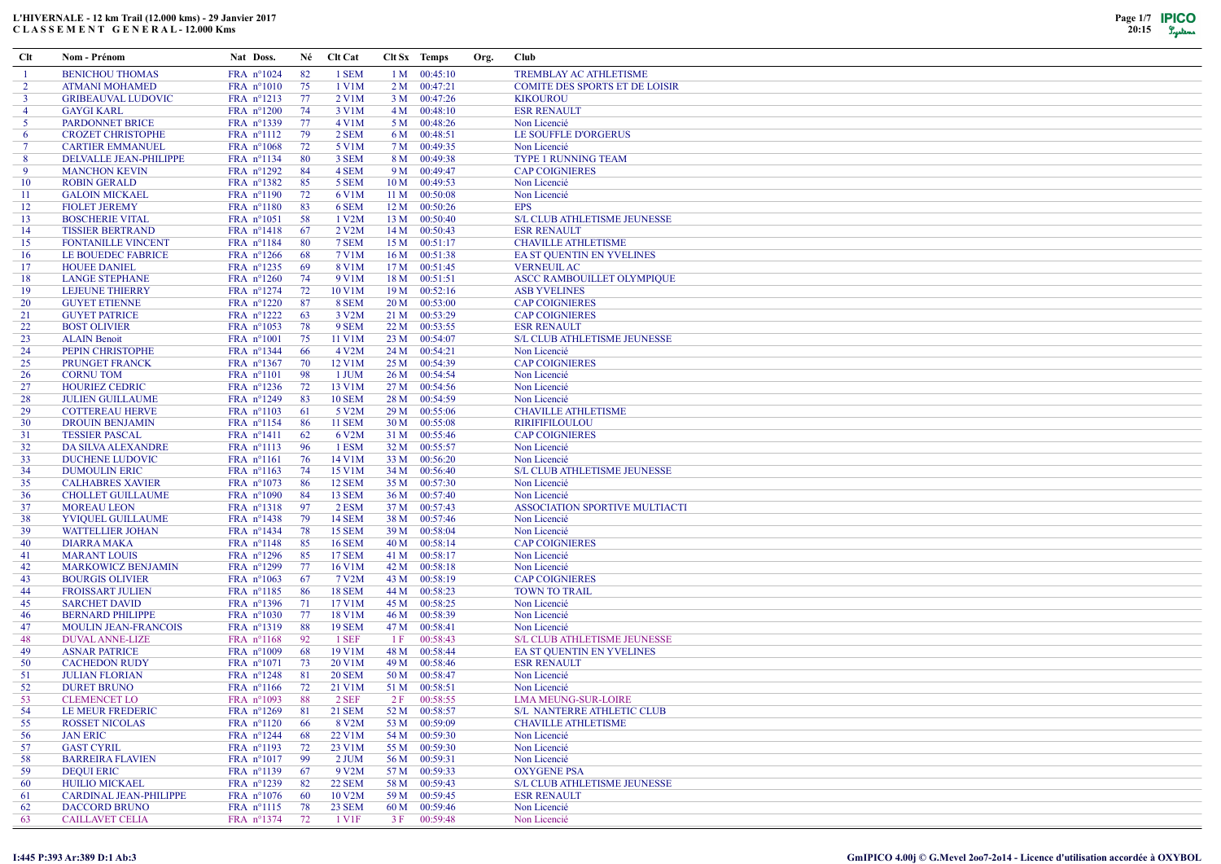| Clt            | Nom - Prénom                                 | Nat Doss.                |           | Né Clt Cat         |      | Clt Sx Temps                   | Org. | <b>Club</b>                                               |
|----------------|----------------------------------------------|--------------------------|-----------|--------------------|------|--------------------------------|------|-----------------------------------------------------------|
| -1             | <b>BENICHOU THOMAS</b>                       | FRA n°1024               | 82        | 1 SEM              |      | $1 M$ 00:45:10                 |      | <b>TREMBLAY AC ATHLETISME</b>                             |
| 2              | <b>ATMANI MOHAMED</b>                        | FRA n°1010               | 75        | 1 V1M              |      | $2 M$ 00:47:21                 |      | <b>COMITE DES SPORTS ET DE LOISIR</b>                     |
| $\mathbf{3}$   | <b>GRIBEAUVAL LUDOVIC</b>                    | FRA nº1213               | 77        | 2 V1M              |      | 3 M 00:47:26                   |      | <b>KIKOUROU</b>                                           |
| $\overline{4}$ | <b>GAYGI KARL</b>                            | FRA n°1200               | -74       | 3 V1M              |      | 4 M 00:48:10                   |      | <b>ESR RENAULT</b>                                        |
| -5             | <b>PARDONNET BRICE</b>                       | FRA nº1339               | 77        | 4 V1M              |      | 5 M 00:48:26                   |      | Non Licencié                                              |
| 6              | <b>CROZET CHRISTOPHE</b>                     | FRA nº1112               | 79        | 2 SEM              |      | 6 M 00:48:51                   |      | LE SOUFFLE D'ORGERUS                                      |
| $\tau$         | <b>CARTIER EMMANUEL</b>                      | FRA n°1068               | 72        | 5 V1M              |      | 7 M 00:49:35                   |      | Non Licencié                                              |
| 8              | DELVALLE JEAN-PHILIPPE                       | FRA nº1134               | -80       | 3 SEM              |      | 8 M 00:49:38                   |      | <b>TYPE 1 RUNNING TEAM</b>                                |
| 9              | <b>MANCHON KEVIN</b>                         | FRA $n^{\circ}1292$      | -84       | 4 SEM              |      | 9 M 00:49:47                   |      | <b>CAP COIGNIERES</b>                                     |
| 10             | <b>ROBIN GERALD</b>                          | FRA nº1382               | 85        | 5 SEM              |      | 10 M 00:49:53                  |      | Non Licencié                                              |
| -11            | <b>GALOIN MICKAEL</b>                        | FRA nº1190               | 72        | 6 V1M              |      | 11 M 00:50:08                  |      | Non Licencié                                              |
| 12             | <b>FIOLET JEREMY</b>                         | FRA n°1180               | 83        | 6 SEM              |      | 12 M 00:50:26                  |      | <b>EPS</b>                                                |
| 13             | <b>BOSCHERIE VITAL</b>                       | FRA $n^{\circ}1051$      | -58       | 1 V2M              |      | 13 M 00:50:40                  |      | <b>S/L CLUB ATHLETISME JEUNESSE</b>                       |
| 14             | <b>TISSIER BERTRAND</b>                      | FRA n°1418               | 67        | 2 V2M              |      | 14 M 00:50:43                  |      | <b>ESR RENAULT</b>                                        |
| 15             | <b>FONTANILLE VINCENT</b>                    | FRA nº1184               | -80       | 7 SEM              |      | $15 M$ 00:51:17                |      | <b>CHAVILLE ATHLETISME</b>                                |
| 16             | LE BOUEDEC FABRICE                           | FRA $n^{\circ}1266$      | -68       | 7 V1M              |      | 16 M 00:51:38                  |      | EA ST QUENTIN EN YVELINES                                 |
| 17             | <b>HOUEE DANIEL</b>                          | FRA $n^{\circ}$ 1235     | -69       | 8 V1M              |      | 17 M 00:51:45                  |      | <b>VERNEUIL AC</b>                                        |
| 18             | <b>LANGE STEPHANE</b>                        | FRA $n^{\circ}1260$      | 74        | 9 V1M              | 18 M | 00:51:51                       |      | ASCC RAMBOUILLET OLYMPIQUE                                |
| 19             | LEJEUNE THIERRY                              | $FRA$ n°1274             | 72        | 10 V1M             |      | 19 M 00:52:16                  |      | <b>ASB YVELINES</b>                                       |
| 20             | <b>GUYET ETIENNE</b>                         | FRA $n^{\circ}1220$      | -87<br>63 | 8 SEM              |      | 20 M 00:53:00                  |      | <b>CAP COIGNIERES</b>                                     |
| 21             | <b>GUYET PATRICE</b>                         | FRA nº1222               |           | 3 V2M              |      | 21 M 00:53:29                  |      | <b>CAP COIGNIERES</b>                                     |
| 22<br>23       | <b>BOST OLIVIER</b>                          | FRA nº1053               | 78<br>75  | 9 SEM<br>11 V1M    | 22 M | 00:53:55<br>23 M 00:54:07      |      | <b>ESR RENAULT</b><br><b>S/L CLUB ATHLETISME JEUNESSE</b> |
| 24             | <b>ALAIN Benoit</b><br>PEPIN CHRISTOPHE      | FRA n°1001<br>FRA nº1344 | -66       | 4 V <sub>2</sub> M |      | 24 M 00:54:21                  |      | Non Licencié                                              |
| 25             | <b>PRUNGET FRANCK</b>                        | FRA nº1367               | 70        | 12 V1M             |      | 25 M 00:54:39                  |      | <b>CAP COIGNIERES</b>                                     |
| 26             | <b>CORNUTOM</b>                              | $FRA$ n°1101             | -98       | 1 JUM              | 26 M | 00:54:54                       |      | Non Licencié                                              |
| 27             | <b>HOURIEZ CEDRIC</b>                        | FRA $n^{\circ}1236$      | 72        | 13 V1M             |      | 27 M 00:54:56                  |      | Non Licencié                                              |
| 28             | <b>JULIEN GUILLAUME</b>                      | FRA nº1249               | 83        | <b>10 SEM</b>      | 28 M | 00:54:59                       |      | Non Licencié                                              |
| 29             | <b>COTTEREAU HERVE</b>                       | FRA nº1103               | -61       | 5 V2M              |      | 29 M 00:55:06                  |      | <b>CHAVILLE ATHLETISME</b>                                |
| 30             | <b>DROUIN BENJAMIN</b>                       | FRA nº1154               | -86       | <b>11 SEM</b>      | 30 M | 00:55:08                       |      | <b>RIRIFIFILOULOU</b>                                     |
| 31             | <b>TESSIER PASCAL</b>                        | FRA nº1411               | 62        | 6 V2M              | 31 M | 00:55:46                       |      | <b>CAP COIGNIERES</b>                                     |
| 32             | DA SILVA ALEXANDRE                           | FRA nº1113               | -96       | 1 ESM              |      | 32 M 00:55:57                  |      | Non Licencié                                              |
| 33             | <b>DUCHENE LUDOVIC</b>                       | FRA nº1161               | 76        | 14 V1M             | 33 M | 00:56:20                       |      | Non Licencié                                              |
| 34             | <b>DUMOULIN ERIC</b>                         | FRA $n^{\circ}1163$      | 74        | 15 V1M             | 34 M | 00:56:40                       |      | S/L CLUB ATHLETISME JEUNESSE                              |
| 35             | <b>CALHABRES XAVIER</b>                      | FRA $n^{\circ}1073$      | 86        | <b>12 SEM</b>      | 35 M | 00:57:30                       |      | Non Licencié                                              |
| 36             | <b>CHOLLET GUILLAUME</b>                     | FRA n°1090               | -84       | <b>13 SEM</b>      |      | 36 M 00:57:40                  |      | Non Licencié                                              |
| 37             | <b>MOREAU LEON</b>                           | FRA nº1318               | -97       | 2 ESM              |      | 37 M 00:57:43                  |      | ASSOCIATION SPORTIVE MULTIACTI                            |
| 38             | YVIQUEL GUILLAUME                            | FRA nº1438               | 79        | <b>14 SEM</b>      |      | 38 M 00:57:46                  |      | Non Licencié                                              |
| 39             | <b>WATTELLIER JOHAN</b>                      | FRA nº1434               | 78        | <b>15 SEM</b>      | 39 M | 00:58:04                       |      | Non Licencié                                              |
| 40             | <b>DIARRA MAKA</b>                           | FRA nº1148               | 85        | <b>16 SEM</b>      |      | 40 M 00:58:14                  |      | <b>CAP COIGNIERES</b>                                     |
| 41             | <b>MARANT LOUIS</b>                          | FRA nº1296               | 85        | <b>17 SEM</b>      |      | 41 M 00:58:17                  |      | Non Licencié                                              |
| 42             | <b>MARKOWICZ BENJAMIN</b>                    | FRA $n^{\circ}1299$      | 77        | $16$ V $1M$        |      | 42 M 00:58:18                  |      | Non Licencié                                              |
| 43             | <b>BOURGIS OLIVIER</b>                       | FRA n°1063               | 67        | 7 V2M              | 43 M | 00:58:19                       |      | <b>CAP COIGNIERES</b>                                     |
| 44             | <b>FROISSART JULIEN</b>                      | FRA nº1185               | -86       | <b>18 SEM</b>      |      | 44 M 00:58:23                  |      | <b>TOWN TO TRAIL</b>                                      |
| 45             | <b>SARCHET DAVID</b>                         | FRA nº1396               | 71        | 17 V1M             |      | 45 M 00:58:25                  |      | Non Licencié                                              |
| 46             | <b>BERNARD PHILIPPE</b>                      | FRA n°1030               | 77        | 18 V1M             |      | 46 M 00:58:39                  |      | Non Licencié                                              |
| 47             | <b>MOULIN JEAN-FRANCOIS</b>                  | FRA nº1319               | 88        | <b>19 SEM</b>      |      | 47 M 00:58:41                  |      | Non Licencié<br><b>S/L CLUB ATHLETISME JEUNESSE</b>       |
| 48             | <b>DUVAL ANNE-LIZE</b>                       | FRA nº1168               | 92        | 1 SEF<br>19 V1M    | 1 F  | 00:58:43                       |      | <b>EA ST QUENTIN EN YVELINES</b>                          |
| 49<br>50       | <b>ASNAR PATRICE</b><br><b>CACHEDON RUDY</b> | FRA n°1009<br>FRA n°1071 | -68<br>73 | 20 V1M             |      | 48 M 00:58:44<br>49 M 00:58:46 |      | <b>ESR RENAULT</b>                                        |
| 51             | <b>JULIAN FLORIAN</b>                        | FRA $n^{\circ}1248$      | 81        | <b>20 SEM</b>      |      | 50 M 00:58:47                  |      | Non Licencié                                              |
| 52             | <b>DURET BRUNO</b>                           | FRA $n^{\circ}1166$      | 72        | 21 V1M             |      | 51 M 00:58:51                  |      | Non Licencié                                              |
| 53             | <b>CLEMENCET LO</b>                          | FRA $n^{\circ}1093$      | 88        | $2$ SEF            |      | 2 F 00:58:55                   |      | <b>LMA MEUNG-SUR-LOIRE</b>                                |
| 54             | LE MEUR FREDERIC                             | FRA $n^{\circ}1269$      | -81       | <b>21 SEM</b>      |      | 52 M 00:58:57                  |      | S/L NANTERRE ATHLETIC CLUB                                |
| 55             | <b>ROSSET NICOLAS</b>                        | $FRA$ n°1120             | -66       | 8 V2M              |      | 53 M 00:59:09                  |      | <b>CHAVILLE ATHLETISME</b>                                |
| 56             | <b>JAN ERIC</b>                              | FRA $n^{\circ}1244$      | 68        | 22 V1M             |      | 54 M 00:59:30                  |      | Non Licencié                                              |
| 57             | <b>GAST CYRIL</b>                            | FRA nº1193               | 72        | 23 V1M             |      | 55 M 00:59:30                  |      | Non Licencié                                              |
| 58             | <b>BARREIRA FLAVIEN</b>                      | FRA $n^{\circ}1017$      | -99       | $2$ JUM            |      | 56 M 00:59:31                  |      | Non Licencié                                              |
| 59             | <b>DEQUI ERIC</b>                            | FRA nº1139               | -67       | 9 V2M              |      | 57 M 00:59:33                  |      | <b>OXYGENE PSA</b>                                        |
| 60             | <b>HUILIO MICKAEL</b>                        | FRA nº1239               | 82        | <b>22 SEM</b>      |      | 58 M 00:59:43                  |      | <b>S/L CLUB ATHLETISME JEUNESSE</b>                       |
| -61            | <b>CARDINAL JEAN-PHILIPPE</b>                | FRA $n^{\circ}1076$      | -60       | $10$ V2M           |      | 59 M 00:59:45                  |      | <b>ESR RENAULT</b>                                        |
| 62             | <b>DACCORD BRUNO</b>                         | $FRA$ n°1115             | 78        | <b>23 SEM</b>      |      | 60 M 00:59:46                  |      | Non Licencié                                              |
| 63             | <b>CAILLAVET CELIA</b>                       | $FRA$ n°1374             | 72        | 1 V1F              | 3F   | 00:59:48                       |      | Non Licencié                                              |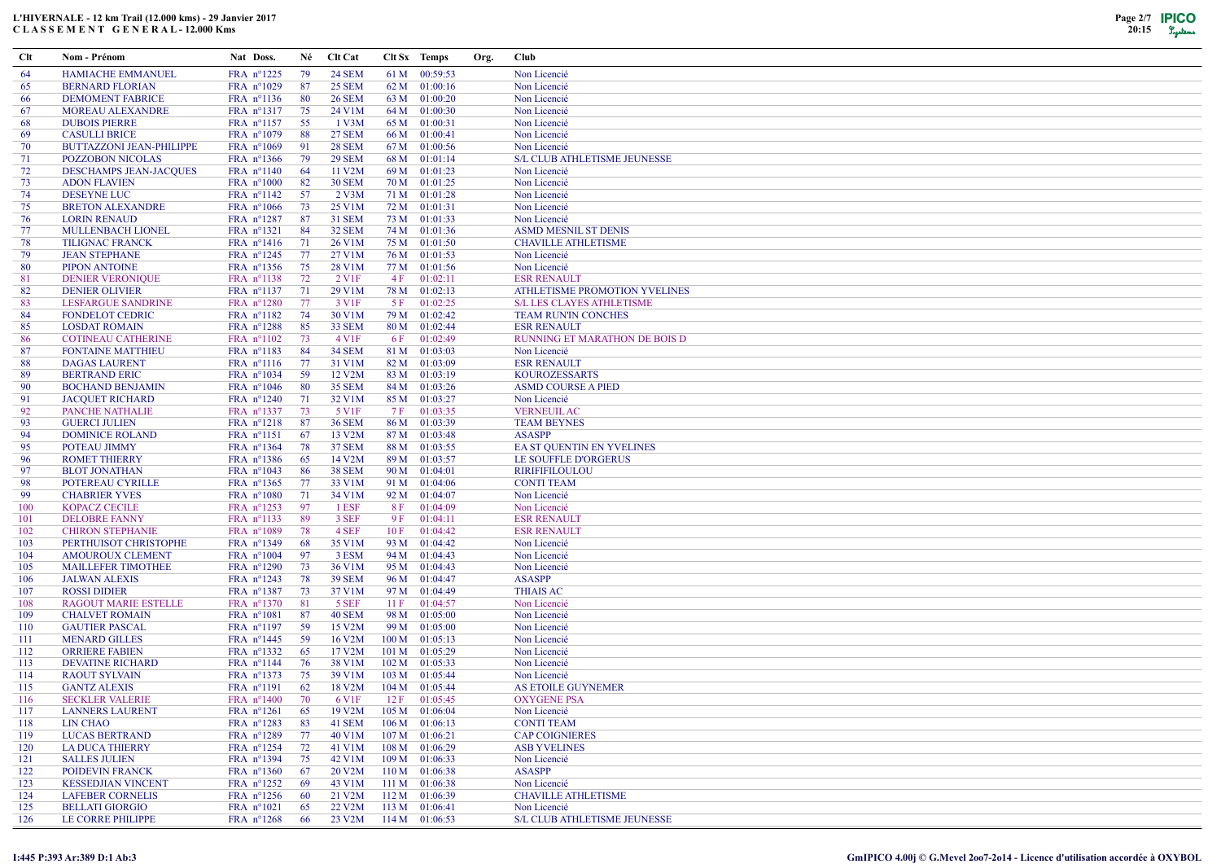## L'HIVERNALE - 12 km Trail (12.000 kms) - 29 Janvier 2017 C L A S S E M E N T G E N E R A L - 12.000 Kms



| Clt        | Nom - Prénom                                     | Nat Doss.                | Né        | <b>Clt Cat</b>                |      | Clt Sx Temps                     | Org. | Club                                     |
|------------|--------------------------------------------------|--------------------------|-----------|-------------------------------|------|----------------------------------|------|------------------------------------------|
| 64         | <b>HAMIACHE EMMANUEL</b>                         | FRA nº1225               | 79        | <b>24 SEM</b>                 |      | 61 M 00:59:53                    |      | Non Licencié                             |
| 65         | <b>BERNARD FLORIAN</b>                           | FRA n°1029               | 87        | <b>25 SEM</b>                 |      | 62 M 01:00:16                    |      | Non Licencié                             |
| 66         | <b>DEMOMENT FABRICE</b>                          | FRA nº1136               | 80        | <b>26 SEM</b>                 |      | 63 M 01:00:20                    |      | Non Licencié                             |
| -67        | <b>MOREAU ALEXANDRE</b>                          | FRA nº1317               | 75        | 24 V1M                        |      | 64 M 01:00:30                    |      | Non Licencié                             |
| 68         | <b>DUBOIS PIERRE</b>                             | FRA nº1157               | 55        | $1$ V3M                       |      | 65 M 01:00:31                    |      | Non Licencié                             |
| 69         | <b>CASULLI BRICE</b>                             | FRA n°1079               | 88        | <b>27 SEM</b>                 |      | 66 M 01:00:41                    |      | Non Licencié                             |
| 70         | <b>BUTTAZZONI JEAN-PHILIPPE</b>                  | FRA n°1069               | 91        | <b>28 SEM</b>                 |      | 67 M 01:00:56                    |      | Non Licencié                             |
| 71         | <b>POZZOBON NICOLAS</b>                          | FRA nº1366               | 79        | <b>29 SEM</b>                 |      | 68 M 01:01:14                    |      | <b>S/L CLUB ATHLETISME JEUNESSE</b>      |
| 72         | <b>DESCHAMPS JEAN-JACQUES</b>                    | FRA nº1140               | 64        | 11 V2M                        |      | 69 M 01:01:23                    |      | Non Licencié                             |
| 73         | <b>ADON FLAVIEN</b>                              | FRA n°1000               | 82        | <b>30 SEM</b>                 |      | 70 M 01:01:25                    |      | Non Licencié                             |
| 74         | <b>DESEYNE LUC</b>                               | FRA nº1142               | 57        | $2$ V3M                       |      | 71 M 01:01:28                    |      | Non Licencié                             |
| 75         | <b>BRETON ALEXANDRE</b>                          | FRA $n^{\circ}1066$      | 73        | 25 V1M                        |      | 72 M 01:01:31                    |      | Non Licencié                             |
| 76         | <b>LORIN RENAUD</b>                              | FRA n°1287               | 87        | <b>31 SEM</b>                 |      | 73 M 01:01:33                    |      | Non Licencié                             |
| 77         | <b>MULLENBACH LIONEL</b>                         | FRA nº1321               | 84        | <b>32 SEM</b>                 |      | 74 M 01:01:36                    |      | <b>ASMD MESNIL ST DENIS</b>              |
| 78         | <b>TILIGNAC FRANCK</b>                           | FRA nº1416               | 71        | 26 V1M                        |      | 75 M 01:01:50                    |      | <b>CHAVILLE ATHLETISME</b>               |
| 79<br>80   | <b>JEAN STEPHANE</b><br>PIPON ANTOINE            | FRA $n^{\circ}1245$      | 77        | 27 V1M                        |      | 76 M 01:01:53<br>77 M 01:01:56   |      | Non Licencié                             |
| 81         | <b>DENIER VERONIQUE</b>                          | FRA nº1356<br>FRA nº1138 | 75<br>72  | 28 V1M<br>2 V1F               |      | 4 F 01:02:11                     |      | Non Licencié<br><b>ESR RENAULT</b>       |
| 82         | <b>DENIER OLIVIER</b>                            | FRA nº1137               | 71        | 29 V1M                        |      | 78 M 01:02:13                    |      | ATHLETISME PROMOTION YVELINES            |
| 83         | <b>LESFARGUE SANDRINE</b>                        | FRA nº1280               | 77        | 3 V <sub>1F</sub>             | 5 F  | 01:02:25                         |      | <b>S/L LES CLAYES ATHLETISME</b>         |
| 84         | <b>FONDELOT CEDRIC</b>                           | FRA nº1182               | 74        | 30 V1M                        |      | 79 M 01:02:42                    |      | TEAM RUN'IN CONCHES                      |
| 85         | <b>LOSDAT ROMAIN</b>                             | FRA nº1288               | 85        | <b>33 SEM</b>                 |      | 80 M 01:02:44                    |      | <b>ESR RENAULT</b>                       |
| 86         | <b>COTINEAU CATHERINE</b>                        | FRA nº1102               | 73        | $4 \text{V1F}$                | 6 F  | 01:02:49                         |      | RUNNING ET MARATHON DE BOIS D            |
| 87         | <b>FONTAINE MATTHIEU</b>                         | FRA nº1183               | 84        | <b>34 SEM</b>                 |      | 81 M 01:03:03                    |      | Non Licencié                             |
| 88         | <b>DAGAS LAURENT</b>                             | FRA nº1116               | 77        | 31 V1M                        |      | 82 M 01:03:09                    |      | <b>ESR RENAULT</b>                       |
| 89         | <b>BERTRAND ERIC</b>                             | FRA nº1034               | 59        | 12 V2M                        |      | 83 M 01:03:19                    |      | <b>KOUROZESSARTS</b>                     |
| 90         | <b>BOCHAND BENJAMIN</b>                          | FRA $n^{\circ}1046$      | -80       | <b>35 SEM</b>                 |      | 84 M 01:03:26                    |      | <b>ASMD COURSE A PIED</b>                |
| 91         | <b>JACQUET RICHARD</b>                           | FRA n°1240               | 71        | 32 V1M                        |      | 85 M 01:03:27                    |      | Non Licencié                             |
| 92         | PANCHE NATHALIE                                  | FRA nº1337               | 73        | 5 V1F                         |      | 7 F 01:03:35                     |      | <b>VERNEUIL AC</b>                       |
| 93         | <b>GUERCI JULIEN</b>                             | FRA nº1218               | -87       | <b>36 SEM</b>                 |      | 86 M 01:03:39                    |      | <b>TEAM BEYNES</b>                       |
| 94         | <b>DOMINICE ROLAND</b>                           | $FRA$ n°1151             | -67       | 13 V2M                        |      | 87 M 01:03:48                    |      | <b>ASASPP</b>                            |
| 95         | POTEAU JIMMY                                     | FRA nº1364               | 78        | <b>37 SEM</b>                 |      | 88 M 01:03:55                    |      | EA ST QUENTIN EN YVELINES                |
| 96         | <b>ROMET THIERRY</b>                             | FRA nº1386               | 65        | 14 V2M                        |      | 89 M 01:03:57                    |      | LE SOUFFLE D'ORGERUS                     |
| 97         | <b>BLOT JONATHAN</b>                             | FRA nº1043               | -86       | <b>38 SEM</b>                 |      | 90 M 01:04:01                    |      | <b>RIRIFIFILOULOU</b>                    |
| 98         | POTEREAU CYRILLE                                 | FRA nº1365               | 77        | 33 V1M                        |      | 91 M 01:04:06                    |      | <b>CONTI TEAM</b>                        |
| 99         | <b>CHABRIER YVES</b>                             | FRA n°1080               | -71       | 34 V1M                        |      | 92 M 01:04:07                    |      | Non Licencié                             |
| 100        | KOPACZ CECILE                                    | FRA nº1253               | -97       | 1 ESF                         | 8F   | 01:04:09                         |      | Non Licencié                             |
| 101<br>102 | <b>DELOBRE FANNY</b>                             | FRA nº1133               | -89<br>78 | 3 SEF<br>4 SEF                | 9 F  | 01:04:11                         |      | <b>ESR RENAULT</b><br><b>ESR RENAULT</b> |
| 103        | <b>CHIRON STEPHANIE</b><br>PERTHUISOT CHRISTOPHE | FRA n°1089<br>FRA nº1349 | 68        | 35 V1M                        | 10 F | 01:04:42<br>93 M 01:04:42        |      | Non Licencié                             |
| 104        | <b>AMOUROUX CLEMENT</b>                          | FRA n°1004               | 97        | 3 ESM                         |      | 94 M 01:04:43                    |      | Non Licencié                             |
| 105        | <b>MAILLEFER TIMOTHEE</b>                        | FRA n°1290               | 73        | 36 V1M                        |      | 95 M 01:04:43                    |      | Non Licencié                             |
| 106        | <b>JALWAN ALEXIS</b>                             | FRA nº1243               | 78        | <b>39 SEM</b>                 |      | 96 M 01:04:47                    |      | <b>ASASPP</b>                            |
| 107        | <b>ROSSI DIDIER</b>                              | FRA nº1387               | 73        | 37 V1M                        |      | 97 M 01:04:49                    |      | <b>THIAIS AC</b>                         |
| 108        | RAGOUT MARIE ESTELLE                             | FRA nº1370               | 81        | 5 SEF                         | 11 F | 01:04:57                         |      | Non Licencié                             |
| 109        | <b>CHALVET ROMAIN</b>                            | FRA nº1081               | -87       | <b>40 SEM</b>                 |      | 98 M 01:05:00                    |      | Non Licencié                             |
| 110        | <b>GAUTIER PASCAL</b>                            | FRA nº1197               | - 59      | 15 V2M                        |      | 99 M 01:05:00                    |      | Non Licencié                             |
| 111        | <b>MENARD GILLES</b>                             | FRA $n^{\circ}$ 1445     | - 59      | 16 V <sub>2</sub> M           |      | 100 M 01:05:13                   |      | Non Licencié                             |
| 112        | <b>ORRIERE FABIEN</b>                            | FRA nº1332               | -65       | 17 V2M                        |      | 101 M 01:05:29                   |      | Non Licencié                             |
| 113        | <b>DEVATINE RICHARD</b>                          | FRA nº1144               | 76        | 38 V1M                        |      | 102 M 01:05:33                   |      | Non Licencié                             |
| 114        | <b>RAOUT SYLVAIN</b>                             | FRA nº1373               | 75        | 39 V1M                        |      | $103 M$ 01:05:44                 |      | Non Licencié                             |
| 115        | <b>GANTZ ALEXIS</b>                              | $FRA$ n°1191             | 62        | 18 V2M                        |      | 104 M 01:05:44                   |      | AS ETOILE GUYNEMER                       |
| 116        | <b>SECKLER VALERIE</b>                           | FRA n°1400               | 70        | 6 V 1 F                       |      | $12 F$ 01:05:45                  |      | <b>OXYGENE PSA</b>                       |
| 117        | <b>LANNERS LAURENT</b>                           | FRA $n^{\circ}1261$      | -65       | 19 V2M                        |      | $105 M$ 01:06:04                 |      | Non Licencié                             |
| 118        | LIN CHAO                                         | FRA nº1283               | 83        | 41 SEM                        |      | $106 M$ $01:06:13$               |      | <b>CONTI TEAM</b>                        |
| 119        | <b>LUCAS BERTRAND</b>                            | FRA $n^{\circ}1289$      | 77        | 40 V1M                        |      | $107 M$ $01:06:21$               |      | <b>CAP COIGNIERES</b>                    |
| 120        | <b>LA DUCA THIERRY</b>                           | FRA nº1254               | 72        | 41 V1M                        |      | 108 M 01:06:29<br>109 M 01:06:33 |      | <b>ASB YVELINES</b>                      |
| 121<br>122 | <b>SALLES JULIEN</b><br><b>POIDEVIN FRANCK</b>   | FRA nº1394<br>FRA n°1360 | 75<br>-67 | 42 V1M<br>20 V <sub>2</sub> M |      | $110 M$ 01:06:38                 |      | Non Licencié<br><b>ASASPP</b>            |
| 123        | <b>KESSEDJIAN VINCENT</b>                        | FRA $n^{\circ}$ 1252     | -69       | 43 V1M                        |      | $111 M$ 01:06:38                 |      | Non Licencié                             |
| 124        | <b>LAFEBER CORNELIS</b>                          | FRA $n^{\circ}$ 1256     | 60        | 21 V2M                        |      | 112 M 01:06:39                   |      | <b>CHAVILLE ATHLETISME</b>               |
| 125        | <b>BELLATI GIORGIO</b>                           | FRA n°1021               | 65        | 22 V2M                        |      | $113 M$ 01:06:41                 |      | Non Licencié                             |
| 126        | LE CORRE PHILIPPE                                | $FRA$ n°1268             | -66       | 23 V2M                        |      | $114 M$ 01:06:53                 |      | S/L CLUB ATHLETISME JEUNESSE             |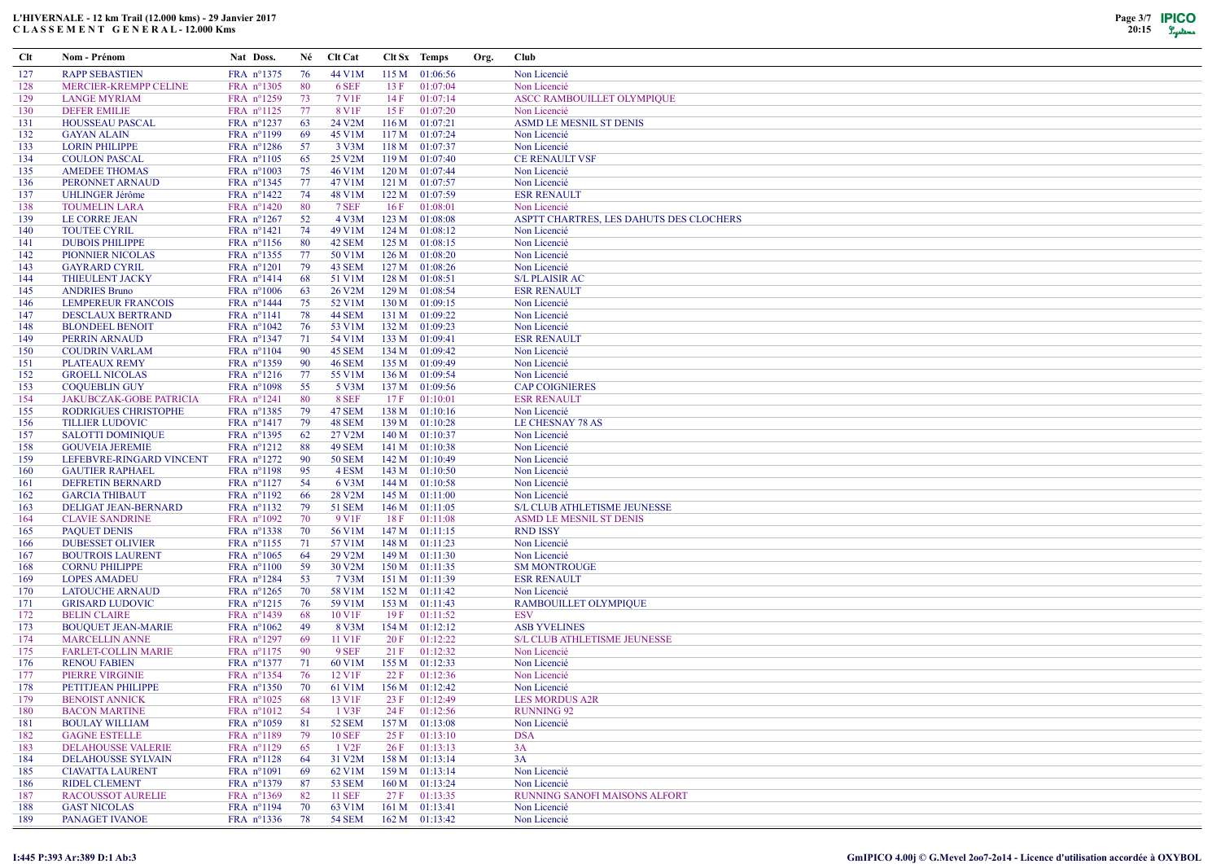| Clt        | Nom - Prénom                                      | Nat Doss.                         | Né        | <b>Clt Cat</b>      |      | Clt Sx Temps                     | Org. | <b>Club</b>                             |
|------------|---------------------------------------------------|-----------------------------------|-----------|---------------------|------|----------------------------------|------|-----------------------------------------|
| 127        | <b>RAPP SEBASTIEN</b>                             | FRA nº1375                        | 76        | 44 V1M              |      | 115 M 01:06:56                   |      | Non Licencié                            |
| 128        | MERCIER-KREMPP CELINE                             | FRA nº1305                        | 80        | 6 SEF               | 13 F | 01:07:04                         |      | Non Licencié                            |
| 129        | <b>LANGE MYRIAM</b>                               | FRA nº1259                        | 73        | 7 V1F               | 14F  | 01:07:14                         |      | ASCC RAMBOUILLET OLYMPIQUE              |
| 130        | <b>DEFER EMILIE</b>                               | FRA nº1125                        | 77        | 8 V1F               | 15 F | 01:07:20                         |      | Non Licencié                            |
| 131        | <b>HOUSSEAU PASCAL</b>                            | FRA $n^{\circ}$ 1237              | 63        | 24 V2M              |      | $116 M$ $01:07:21$               |      | ASMD LE MESNIL ST DENIS                 |
| 132        | <b>GAYAN ALAIN</b>                                | FRA nº1199                        | -69       | 45 V1M              |      | $117 M$ 01:07:24                 |      | Non Licencié                            |
| 133        | <b>LORIN PHILIPPE</b>                             | FRA $n^{\circ}1286$               | -57       | 3 V <sub>3</sub> M  |      | 118 M 01:07:37                   |      | Non Licencié                            |
| 134        | <b>COULON PASCAL</b>                              | FRA $n^{\circ}1105$               | 65        | 25 V2M              |      | 119 M 01:07:40                   |      | <b>CE RENAULT VSF</b>                   |
| 135        | <b>AMEDEE THOMAS</b>                              | FRA $n^{\circ}1003$               | 75        | 46 V1M              |      | 120 M 01:07:44                   |      | Non Licencié                            |
| 136        | PERONNET ARNAUD                                   | FRA nº1345                        | 77        | 47 V1M              |      | 121 M 01:07:57                   |      | Non Licencié                            |
| 137        | <b>UHLINGER Jérôme</b>                            | FRA nº1422                        | 74        | 48 V1M              |      | 122 M 01:07:59                   |      | <b>ESR RENAULT</b>                      |
| 138        | <b>TOUMELIN LARA</b>                              | FRA n°1420                        | 80        | 7 SEF               | 16F  | 01:08:01                         |      | Non Licencié                            |
| 139        | LE CORRE JEAN                                     | FRA $n^{\circ}1267$               | 52        | 4 V3M               |      | 123 M 01:08:08                   |      | ASPTT CHARTRES, LES DAHUTS DES CLOCHERS |
| 140        | <b>TOUTEE CYRIL</b>                               | FRA nº1421                        | 74        | 49 V1M              |      | 124 M 01:08:12                   |      | Non Licencié                            |
| 141        | <b>DUBOIS PHILIPPE</b>                            | FRA $n^{\circ}1156$               | 80        | 42 SEM              |      | 125 M 01:08:15                   |      | Non Licencié                            |
| 142        | <b>PIONNIER NICOLAS</b>                           | FRA nº1355                        | 77        | 50 V1M              |      | 126 M 01:08:20                   |      | Non Licencié                            |
| 143        | <b>GAYRARD CYRIL</b>                              | $FRA$ n°1201                      | 79        | 43 SEM              |      | $127 M$ 01:08:26                 |      | Non Licencié                            |
| 144        | <b>THIEULENT JACKY</b>                            | FRA nº1414                        | 68        | 51 V1M              |      | 128 M 01:08:51                   |      | <b>S/L PLAISIR AC</b>                   |
| 145        | <b>ANDRIES Bruno</b>                              | FRA n°1006                        | 63        | 26 V <sub>2</sub> M |      | 129 M 01:08:54                   |      | <b>ESR RENAULT</b>                      |
| 146        | <b>LEMPEREUR FRANCOIS</b>                         | FRA $n^{\circ}$ 1444              | 75        | 52 V1M              |      | 130 M 01:09:15                   |      | Non Licencié                            |
| 147        | <b>DESCLAUX BERTRAND</b>                          | $FRA$ n°1141                      | 78        | <b>44 SEM</b>       |      | 131 M 01:09:22                   |      | Non Licencié                            |
| 148        | <b>BLONDEEL BENOIT</b>                            | FRA n°1042                        | 76<br>71  | 53 V1M<br>54 V1M    |      | 132 M 01:09:23<br>133 M 01:09:41 |      | Non Licencié                            |
| 149        | PERRIN ARNAUD                                     | FRA nº1347<br>FRA nº1104          | 90        | 45 SEM              |      | 134 M 01:09:42                   |      | <b>ESR RENAULT</b><br>Non Licencié      |
| 150<br>151 | <b>COUDRIN VARLAM</b><br><b>PLATEAUX REMY</b>     | FRA nº1359                        | 90        | <b>46 SEM</b>       |      | 135 M 01:09:49                   |      | Non Licencié                            |
| 152        | <b>GROELL NICOLAS</b>                             | FRA $n^{\circ}1216$               | 77        | 55 V1M              |      | 136 M 01:09:54                   |      | Non Licencié                            |
| 153        | <b>COQUEBLIN GUY</b>                              | FRA n°1098                        | 55        | 5 V3M               |      | 137 M 01:09:56                   |      | <b>CAP COIGNIERES</b>                   |
| 154        | <b>JAKUBCZAK-GOBE PATRICIA</b>                    | FRA nº1241                        | 80        | 8 SEF               | 17 F | 01:10:01                         |      | <b>ESR RENAULT</b>                      |
| 155        | RODRIGUES CHRISTOPHE                              | FRA nº1385                        | 79        | 47 SEM              |      | 138 M 01:10:16                   |      | Non Licencié                            |
| 156        | <b>TILLIER LUDOVIC</b>                            | FRA $n^{\circ}1417$               | 79        | 48 SEM              |      | 139 M 01:10:28                   |      | LE CHESNAY 78 AS                        |
| 157        | <b>SALOTTI DOMINIQUE</b>                          | FRA nº1395                        | 62        | 27 V2M              |      | 140 M 01:10:37                   |      | Non Licencié                            |
| 158        | <b>GOUVEIA JEREMIE</b>                            | FRA nº1212                        | 88        | 49 SEM              |      | 141 M 01:10:38                   |      | Non Licencié                            |
| 159        | LEFEBVRE-RINGARD VINCENT                          | FRA nº1272                        | 90        | <b>50 SEM</b>       |      | 142 M 01:10:49                   |      | Non Licencié                            |
| 160        | <b>GAUTIER RAPHAEL</b>                            | FRA n°1198                        | 95        | 4 ESM               |      | 143 M 01:10:50                   |      | Non Licencié                            |
| 161        | DEFRETIN BERNARD                                  | FRA nº1127                        | 54        | 6 V3M               |      | 144 M 01:10:58                   |      | Non Licencié                            |
| 162        | <b>GARCIA THIBAUT</b>                             | FRA $n^{\circ}1192$               | -66       | 28 V2M              |      | 145 M 01:11:00                   |      | Non Licencié                            |
| 163        | DELIGAT JEAN-BERNARD                              | FRA nº1132                        | 79        | <b>51 SEM</b>       |      | 146 M 01:11:05                   |      | S/L CLUB ATHLETISME JEUNESSE            |
| 164        | <b>CLAVIE SANDRINE</b>                            | FRA $n^{\circ}1092$               | 70        | 9 V <sub>1F</sub>   | 18F  | 01:11:08                         |      | ASMD LE MESNIL ST DENIS                 |
| 165        | <b>PAQUET DENIS</b>                               | FRA nº1338                        | 70        | 56 V1M              |      | 147 M 01:11:15                   |      | <b>RND ISSY</b>                         |
| 166        | <b>DUBESSET OLIVIER</b>                           | FRA nº1155                        | 71        | 57 V1M              |      | 148 M 01:11:23                   |      | Non Licencié                            |
| 167        | <b>BOUTROIS LAURENT</b>                           | FRA $n^{\circ}1065$               | 64        | 29 V2M              |      | 149 M 01:11:30                   |      | Non Licencié                            |
| 168        | <b>CORNU PHILIPPE</b>                             | $FRA$ $n^{\circ}1100$             | 59        | 30 V2M              |      | 150 M 01:11:35                   |      | <b>SM MONTROUGE</b>                     |
| 169        | <b>LOPES AMADEU</b>                               | FRA nº1284                        | 53        | 7 V3M               |      | 151 M 01:11:39                   |      | <b>ESR RENAULT</b>                      |
| 170        | <b>LATOUCHE ARNAUD</b>                            | FRA $n^{\circ}$ 1265              | 70        | 58 V1M              |      | 152 M 01:11:42                   |      | Non Licencié                            |
| 171        | <b>GRISARD LUDOVIC</b>                            | FRA nº1215                        | 76        | 59 V1M              |      | 153 M 01:11:43                   |      | RAMBOUILLET OLYMPIQUE                   |
| 172        | <b>BELIN CLAIRE</b>                               | FRA nº1439                        | 68        | 10 V1F              | 19F  | 01:11:52                         |      | <b>ESV</b>                              |
| 173        | <b>BOUQUET JEAN-MARIE</b>                         | FRA n°1062                        | 49        | 8 V3M               |      | 154 M 01:12:12                   |      | <b>ASB YVELINES</b>                     |
| 174        | <b>MARCELLIN ANNE</b>                             | FRA nº1297                        | 69        | 11 V1F<br>9 SEF     | 20 F | 01:12:22                         |      | S/L CLUB ATHLETISME JEUNESSE            |
| 175<br>176 | <b>FARLET-COLLIN MARIE</b><br><b>RENOU FABIEN</b> | FRA $n^{\circ}1175$<br>FRA nº1377 | -90<br>71 | 60 V1M              |      | 21 F 01:12:32<br>155 M 01:12:33  |      | Non Licencié<br>Non Licencié            |
| 177        | PIERRE VIRGINIE                                   | FRA nº1354                        | 76        | 12 V1F              | 22 F | 01:12:36                         |      | Non Licencié                            |
| 178        | PETITJEAN PHILIPPE                                | FRA nº1350                        | 70        | 61 V1M              |      | 156 M 01:12:42                   |      | Non Licencié                            |
| 179        | <b>BENOIST ANNICK</b>                             | FRA $n^{\circ}1025$               | 68        | 13 V1F              |      | 23 F 01:12:49                    |      | <b>LES MORDUS A2R</b>                   |
| 180        | <b>BACON MARTINE</b>                              | $FRA$ n°1012                      | -54       | 1 V3F               |      | 24 F 01:12:56                    |      | <b>RUNNING 92</b>                       |
| 181        | <b>BOULAY WILLIAM</b>                             | FRA $n^{\circ}1059$               | 81        | <b>52 SEM</b>       |      | $157 M$ 01:13:08                 |      | Non Licencié                            |
| 182        | <b>GAGNE ESTELLE</b>                              | FRA n°1189                        | 79        | <b>10 SEF</b>       | 25 F | 01:13:10                         |      | <b>DSA</b>                              |
| 183        | <b>DELAHOUSSE VALERIE</b>                         | FRA n°1129                        | 65        | 1 V <sub>2F</sub>   |      | 26 F 01:13:13                    |      | 3A                                      |
| 184        | <b>DELAHOUSSE SYLVAIN</b>                         | $FRA$ n°1128                      | -64       | 31 V2M              |      | 158 M 01:13:14                   |      | 3A                                      |
| 185        | <b>CIAVATTA LAURENT</b>                           | FRA $n^{\circ}1091$               | -69       | 62 V1M              |      | 159 M 01:13:14                   |      | Non Licencié                            |
| 186        | <b>RIDEL CLEMENT</b>                              | FRA n°1379                        | 87        | <b>53 SEM</b>       |      | 160 M 01:13:24                   |      | Non Licencié                            |
| 187        | <b>RACOUSSOT AURELIE</b>                          | FRA n°1369                        | 82        | <b>11 SEF</b>       |      | 27 F 01:13:35                    |      | <b>RUNNING SANOFI MAISONS ALFORT</b>    |
| 188        | <b>GAST NICOLAS</b>                               | FRA nº1194                        | 70        | 63 V1M              |      | $161 M$ $01:13:41$               |      | Non Licencié                            |
| 189        | PANAGET IVANOE                                    | FRA $n^{\circ}$ 1336              | 78        | 54 SEM              |      | 162 M 01:13:42                   |      | Non Licencié                            |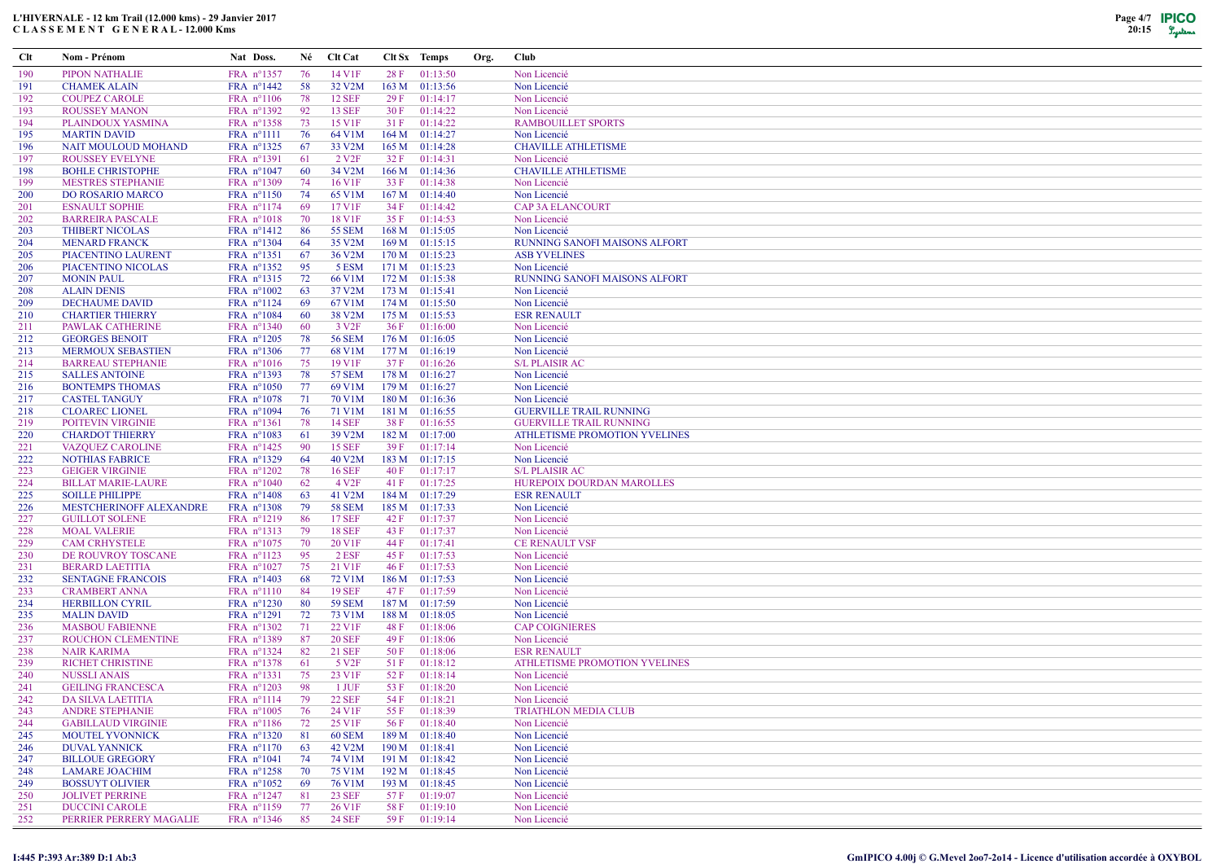

| Clt        | Nom - Prénom                                 | Nat Doss.                                  | Né       | <b>Clt Cat</b>         |                  | Clt Sx Temps               | Org. | <b>Club</b>                          |
|------------|----------------------------------------------|--------------------------------------------|----------|------------------------|------------------|----------------------------|------|--------------------------------------|
| 190        | <b>PIPON NATHALIE</b>                        | FRA nº1357                                 | 76       | 14 V1F                 | 28F              | 01:13:50                   |      | Non Licencié                         |
| 191        | <b>CHAMEK ALAIN</b>                          | FRA n°1442                                 | 58       | 32 V2M                 |                  | 163 M 01:13:56             |      | Non Licencié                         |
| 192        | <b>COUPEZ CAROLE</b>                         | FRA $n^{\circ}1106$                        | 78       | <b>12 SEF</b>          | 29F              | 01:14:17                   |      | Non Licencié                         |
| 193        | <b>ROUSSEY MANON</b>                         | FRA nº1392                                 | 92       | <b>13 SEF</b>          | 30 F             | 01:14:22                   |      | Non Licencié                         |
| 194        | PLAINDOUX YASMINA                            | FRA nº1358                                 | 73       | 15 V1F                 | 31F              | 01:14:22                   |      | <b>RAMBOUILLET SPORTS</b>            |
| 195        | <b>MARTIN DAVID</b>                          | FRA nº1111                                 | 76       | 64 V1M                 |                  | 164 M 01:14:27             |      | Non Licencié                         |
| 196        | NAIT MOULOUD MOHAND                          | FRA $n^{\circ}$ 1325                       | -67      | 33 V2M                 |                  | 165 M 01:14:28             |      | <b>CHAVILLE ATHLETISME</b>           |
| 197        | <b>ROUSSEY EVELYNE</b>                       | FRA n°1391                                 | -61      | 2 V <sub>2F</sub>      | 32 F             | 01:14:31                   |      | Non Licencié                         |
| 198        | <b>BOHLE CHRISTOPHE</b>                      | FRA $n^{\circ}1047$                        | -60      | 34 V2M                 | 166 M            | 01:14:36                   |      | <b>CHAVILLE ATHLETISME</b>           |
| 199        | <b>MESTRES STEPHANIE</b>                     | FRA nº1309                                 | -74      | 16 V1F                 | 33 F             | 01:14:38                   |      | Non Licencié                         |
| 200        | DO ROSARIO MARCO                             | FRA $n^{\circ}1150$                        | 74       | 65 V1M                 |                  | 167 M 01:14:40             |      | Non Licencié                         |
| 201        | <b>ESNAULT SOPHIE</b>                        | FRA n°1174                                 | -69      | 17 V1F                 | 34 F             | 01:14:42                   |      | <b>CAP 3A ELANCOURT</b>              |
| 202        | <b>BARREIRA PASCALE</b>                      | FRA $n^{\circ}1018$                        | 70       | 18 V1F                 | 35 F             | 01:14:53                   |      | Non Licencié                         |
| 203        | <b>THIBERT NICOLAS</b>                       | FRA $n^{\circ}1412$                        | 86       | <b>55 SEM</b>          | 168 <sub>M</sub> | 01:15:05                   |      | Non Licencié                         |
| 204        | <b>MENARD FRANCK</b>                         | FRA $n^{\circ}1304$                        | -64      | 35 V2M                 |                  | 169 M 01:15:15             |      | <b>RUNNING SANOFI MAISONS ALFORT</b> |
| 205        | PIACENTINO LAURENT                           | FRA nº1351                                 | -67      | 36 V2M                 |                  | 170 M 01:15:23             |      | <b>ASB YVELINES</b>                  |
| 206        | PIACENTINO NICOLAS                           | FRA nº1352                                 | 95       | 5 ESM                  | 171 M            | 01:15:23                   |      | Non Licencié                         |
| 207        | <b>MONIN PAUL</b>                            | FRA nº1315                                 | 72<br>63 | 66 V1M                 | 172 M            | 01:15:38                   |      | RUNNING SANOFI MAISONS ALFORT        |
| 208<br>209 | <b>ALAIN DENIS</b><br><b>DECHAUME DAVID</b>  | FRA $n^{\circ}1002$<br>$FRA$ n°1124        | -69      | 37 V2M<br>67 V1M       | 174M             | 173 M 01:15:41<br>01:15:50 |      | Non Licencié<br>Non Licencié         |
| 210        | <b>CHARTIER THIERRY</b>                      | FRA $n^{\circ}1084$                        | -60      | 38 V2M                 |                  | $175 M$ 01:15:53           |      | <b>ESR RENAULT</b>                   |
| 211        | PAWLAK CATHERINE                             | FRA n°1340                                 | 60       | 3 V <sub>2F</sub>      | 36 F             | 01:16:00                   |      | Non Licencié                         |
| 212        | <b>GEORGES BENOIT</b>                        | FRA nº1205                                 | 78       | <b>56 SEM</b>          |                  | $176 M$ 01:16:05           |      | Non Licencié                         |
| 213        | <b>MERMOUX SEBASTIEN</b>                     | FRA nº1306                                 | 77       | 68 V1M                 |                  | 177 M 01:16:19             |      | Non Licencié                         |
| 214        | <b>BARREAU STEPHANIE</b>                     | FRA $n^{\circ}1016$                        | 75       | 19 V1F                 | 37 F             | 01:16:26                   |      | <b>S/L PLAISIR AC</b>                |
| 215        | <b>SALLES ANTOINE</b>                        | FRA nº1393                                 | 78       | <b>57 SEM</b>          |                  | $178 M$ 01:16:27           |      | Non Licencié                         |
| 216        | <b>BONTEMPS THOMAS</b>                       | FRA $n^{\circ}1050$                        | 77       | 69 V1M                 |                  | 179 M 01:16:27             |      | Non Licencié                         |
| 217        | <b>CASTEL TANGUY</b>                         | FRA $n^{\circ}1078$                        | 71       | 70 V1M                 | 180 M            | 01:16:36                   |      | Non Licencié                         |
| 218        | <b>CLOAREC LIONEL</b>                        | FRA $n^{\circ}1094$                        | 76       | 71 V1M                 |                  | 181 M 01:16:55             |      | <b>GUERVILLE TRAIL RUNNING</b>       |
| 219        | POITEVIN VIRGINIE                            | FRA $n^{\circ}1361$                        | 78       | <b>14 SEF</b>          | 38 F             | 01:16:55                   |      | <b>GUERVILLE TRAIL RUNNING</b>       |
| 220        | <b>CHARDOT THIERRY</b>                       | FRA nº1083                                 | 61       | 39 V2M                 |                  | 182 M 01:17:00             |      | ATHLETISME PROMOTION YVELINES        |
| 221        | <b>VAZQUEZ CAROLINE</b>                      | FRA $n^{\circ}$ 1425                       | -90      | <b>15 SEF</b>          | 39 F             | 01:17:14                   |      | Non Licencié                         |
| 222        | <b>NOTHIAS FABRICE</b>                       | FRA nº1329                                 | 64       | 40 V2M                 |                  | 183 M 01:17:15             |      | Non Licencié                         |
| 223        | <b>GEIGER VIRGINIE</b>                       | FRA $n^{\circ}1202$                        | 78       | <b>16 SEF</b>          | 40 F             | 01:17:17                   |      | <b>S/L PLAISIR AC</b>                |
| 224        | <b>BILLAT MARIE-LAURE</b>                    | FRA $n^{\circ}1040$                        | 62       | 4 V <sub>2F</sub>      | 41F              | 01:17:25                   |      | <b>HUREPOIX DOURDAN MAROLLES</b>     |
| 225        | <b>SOILLE PHILIPPE</b>                       | FRA $n^{\circ}1408$                        | 63       | 41 V2M                 |                  | 184 M 01:17:29             |      | <b>ESR RENAULT</b>                   |
| 226        | <b>MESTCHERINOFF ALEXANDRE</b>               | FRA nº1308                                 | 79       | <b>58 SEM</b>          |                  | 185 M 01:17:33             |      | Non Licencié                         |
| 227        | <b>GUILLOT SOLENE</b>                        | FRA $n^{\circ}1219$                        | 86       | <b>17 SEF</b>          | 42 F             | 01:17:37                   |      | Non Licencié                         |
| 228        | <b>MOAL VALERIE</b>                          | FRA nº1313                                 | 79       | <b>18 SEF</b>          | 43 F             | 01:17:37                   |      | Non Licencié                         |
| 229        | <b>CAM CRHYSTELE</b>                         | FRA $n^{\circ}1075$                        | 70       | 20 V1F                 | 44 F             | 01:17:41                   |      | <b>CE RENAULT VSF</b>                |
| 230<br>231 | DE ROUVROY TOSCANE<br><b>BERARD LAETITIA</b> | FRA $n^{\circ}1123$<br>FRA $n^{\circ}1027$ | 95<br>75 | 2 ESF<br>21 V1F        | 45 F<br>46 F     | 01:17:53<br>01:17:53       |      | Non Licencié<br>Non Licencié         |
| 232        | <b>SENTAGNE FRANCOIS</b>                     | FRA $n^{\circ}1403$                        | 68       | $72$ V $1\overline{M}$ | 186 M            | 01:17:53                   |      | Non Licencié                         |
| 233        | <b>CRAMBERT ANNA</b>                         | $FRA$ $n^{\circ}1110$                      | -84      | <b>19 SEF</b>          | 47 F             | 01:17:59                   |      | Non Licencié                         |
| 234        | <b>HERBILLON CYRIL</b>                       | FRA nº1230                                 | 80       | <b>59 SEM</b>          |                  | 187 M 01:17:59             |      | Non Licencié                         |
| 235        | <b>MALIN DAVID</b>                           | $FRA$ n°1291                               | 72       | 73 V1M                 | 188 M            | 01:18:05                   |      | Non Licencié                         |
| 236        | <b>MASBOU FABIENNE</b>                       | FRA $n^{\circ}1302$                        | -71      | 22 V1F                 | 48 F             | 01:18:06                   |      | <b>CAP COIGNIERES</b>                |
| 237        | <b>ROUCHON CLEMENTINE</b>                    | FRA nº1389                                 | 87       | <b>20 SEF</b>          | 49 F             | 01:18:06                   |      | Non Licencié                         |
| 238        | <b>NAIR KARIMA</b>                           | FRA $n^{\circ}$ 1324                       | 82       | 21 SEF                 | 50 F             | 01:18:06                   |      | <b>ESR RENAULT</b>                   |
| 239        | <b>RICHET CHRISTINE</b>                      | FRA nº1378                                 | -61      | 5 V <sub>2F</sub>      | 51 F             | 01:18:12                   |      | ATHLETISME PROMOTION YVELINES        |
| 240        | <b>NUSSLI ANAIS</b>                          | FRA nº1331                                 | 75       | 23 V1F                 | 52 F             | 01:18:14                   |      | Non Licencié                         |
| 241        | <b>GEILING FRANCESCA</b>                     | FRA $n^{\circ}1203$                        | 98       | 1 JUF                  | 53 F             | 01:18:20                   |      | Non Licencié                         |
| 242        | DA SILVA LAETITIA                            | FRA n°1114 79                              |          | <b>22 SEF</b>          |                  | 54 F 01:18:21              |      | Non Licencié                         |
| 243        | <b>ANDRE STEPHANIE</b>                       | FRA $n^{\circ}1005$                        | 76       | 24 V1F                 | 55 F             | 01:18:39                   |      | <b>TRIATHLON MEDIA CLUB</b>          |
| 244        | <b>GABILLAUD VIRGINIE</b>                    | FRA $n^{\circ}1186$                        | 72       | 25 V1F                 | 56 F             | 01:18:40                   |      | Non Licencié                         |
| 245        | <b>MOUTEL YVONNICK</b>                       | FRA n°1320                                 | 81       | 60 SEM                 |                  | 189 M 01:18:40             |      | Non Licencié                         |
| 246        | <b>DUVAL YANNICK</b>                         | $FRA$ n°1170                               | 63       | 42 V <sub>2</sub> M    |                  | 190 M 01:18:41             |      | Non Licencié                         |
| 247        | <b>BILLOUE GREGORY</b>                       | FRA $n^{\circ}1041$                        | 74       | 74 V1M                 |                  | 191 M 01:18:42             |      | Non Licencié                         |
| 248        | <b>LAMARE JOACHIM</b>                        | FRA $n^{\circ}$ 1258                       | 70       | 75 V1M                 | 192 M            | 01:18:45                   |      | Non Licencié                         |
| 249        | <b>BOSSUYT OLIVIER</b>                       | FRA $n^{\circ}1052$                        | -69      | 76 V1M                 |                  | 193 M 01:18:45             |      | Non Licencié                         |
| 250        | <b>JOLIVET PERRINE</b>                       | $FRA$ n°1247                               | 81       | 23 SEF                 | 57 F             | 01:19:07                   |      | Non Licencié                         |
| 251        | <b>DUCCINI CAROLE</b>                        | FRA $n^{\circ}1159$                        | 77       | 26 V1F                 | 58 F             | 01:19:10                   |      | Non Licencié                         |
| 252        | PERRIER PERRERY MAGALIE                      | FRA $n^{\circ}$ 1346                       | 85       | <b>24 SEF</b>          |                  | 59 F 01:19:14              |      | Non Licencié                         |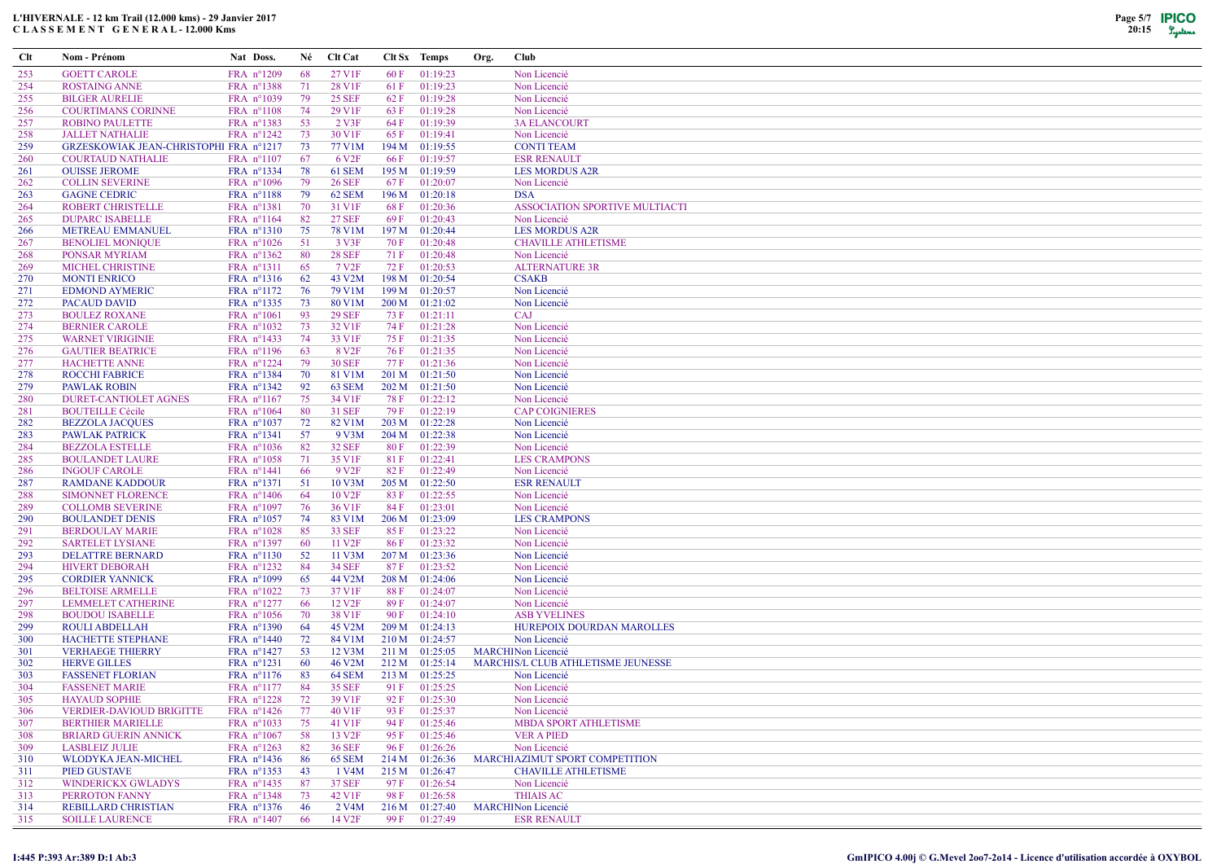## L'HIVERNALE - 12 km Trail (12.000 kms) - 29 Janvier 2017 C L A S S E M E N T G E N E R A L - 12.000 Kms



| Clt        | Nom - Prénom                                      | Nat Doss.                                  | Né        | <b>Clt Cat</b>                      |              | Clt Sx Temps                 | Org. | Club                                          |
|------------|---------------------------------------------------|--------------------------------------------|-----------|-------------------------------------|--------------|------------------------------|------|-----------------------------------------------|
| 253        | <b>GOETT CAROLE</b>                               | FRA nº1209                                 | 68        | 27 V1F                              | 60 F         | 01:19:23                     |      | Non Licencié                                  |
| 254        | <b>ROSTAING ANNE</b>                              | FRA nº1388                                 | 71        | 28 V1F                              | 61 F         | 01:19:23                     |      | Non Licencié                                  |
| 255        | <b>BILGER AURELIE</b>                             | FRA n°1039                                 | 79        | <b>25 SEF</b>                       | 62 F         | 01:19:28                     |      | Non Licencié                                  |
| 256        | <b>COURTIMANS CORINNE</b>                         | FRA $n^{\circ}1108$                        | 74        | 29 V1F                              | 63 F         | 01:19:28                     |      | Non Licencié                                  |
| 257        | <b>ROBINO PAULETTE</b>                            | FRA nº1383                                 | 53        | 2 V3F                               | 64 F         | 01:19:39                     |      | <b>3A ELANCOURT</b>                           |
| 258        | <b>JALLET NATHALIE</b>                            | $FRA$ n°1242                               | 73        | 30 V1F                              | 65 F         | 01:19:41                     |      | Non Licencié                                  |
| 259        | GRZESKOWIAK JEAN-CHRISTOPHI FRA nº1217            |                                            | 73        | 77 V1M                              |              | 194 M 01:19:55               |      | <b>CONTI TEAM</b>                             |
| 260        | <b>COURTAUD NATHALIE</b>                          | FRA $n^{\circ}1107$                        | 67        | 6 V <sub>2F</sub>                   | 66 F         | 01:19:57                     |      | <b>ESR RENAULT</b>                            |
| 261        | <b>OUISSE JEROME</b>                              | FRA nº1334                                 | 78        | 61 SEM                              | 195 M        | 01:19:59                     |      | <b>LES MORDUS A2R</b>                         |
| 262        | <b>COLLIN SEVERINE</b>                            | FRA $n^{\circ}1096$                        | 79        | <b>26 SEF</b>                       | 67 F         | 01:20:07                     |      | Non Licencié                                  |
| 263        | <b>GAGNE CEDRIC</b>                               | $FRA$ n°1188                               | 79        | 62 SEM                              | 196 M        | 01:20:18                     |      | <b>DSA</b>                                    |
| 264        | <b>ROBERT CHRISTELLE</b>                          | FRA n°1381                                 | 70        | 31 V1F                              | 68 F         | 01:20:36                     |      | ASSOCIATION SPORTIVE MULTIACTI                |
| 265        | <b>DUPARC ISABELLE</b>                            | FRA nº1164                                 | 82        | <b>27 SEF</b>                       | 69 F         | 01:20:43                     |      | Non Licencié                                  |
| 266        | <b>METREAU EMMANUEL</b>                           | FRA n°1310                                 | 75        | 78 V1M                              | 197 M        | 01:20:44                     |      | <b>LES MORDUS A2R</b>                         |
| 267        | <b>BENOLIEL MONIQUE</b>                           | FRA $n^{\circ}1026$                        | 51        | 3 V3F                               | 70 F         | 01:20:48                     |      | <b>CHAVILLE ATHLETISME</b>                    |
| 268        | PONSAR MYRIAM                                     | FRA $n^{\circ}1362$                        | 80        | <b>28 SEF</b><br>7 V <sub>2F</sub>  | 71 F<br>72 F | 01:20:48                     |      | Non Licencié<br><b>ALTERNATURE 3R</b>         |
| 269<br>270 | MICHEL CHRISTINE<br><b>MONTI ENRICO</b>           | FRA nº1311<br>FRA $n^{\circ}1316$          | -65<br>62 | 43 V2M                              | 198 M        | 01:20:53<br>01:20:54         |      | <b>CSAKB</b>                                  |
| 271        | <b>EDMOND AYMERIC</b>                             | FRA n°1172                                 | 76        | 79 V1M                              | 199 M        | 01:20:57                     |      | Non Licencié                                  |
| 272        | PACAUD DAVID                                      | FRA $n^{\circ}$ 1335                       | 73        | 80 V1M                              | 200 M        | 01:21:02                     |      | Non Licencié                                  |
| 273        | <b>BOULEZ ROXANE</b>                              | FRA $n^{\circ}1061$                        | 93        | <b>29 SEF</b>                       | 73 F         | 01:21:11                     |      | CAJ                                           |
| 274        | <b>BERNIER CAROLE</b>                             | FRA nº1032                                 | 73        | 32 V1F                              | 74 F         | 01:21:28                     |      | Non Licencié                                  |
| 275        | <b>WARNET VIRIGINIE</b>                           | FRA nº1433                                 | 74        | 33 V1F                              | 75 F         | 01:21:35                     |      | Non Licencié                                  |
| 276        | <b>GAUTIER BEATRICE</b>                           | FRA nº1196                                 | 63        | 8 V <sub>2F</sub>                   | 76 F         | 01:21:35                     |      | Non Licencié                                  |
| 277        | <b>HACHETTE ANNE</b>                              | FRA $n^{\circ}1224$                        | 79        | <b>30 SEF</b>                       | 77 F         | 01:21:36                     |      | Non Licencié                                  |
| 278        | ROCCHI FABRICE                                    | FRA nº1384                                 | 70        | 81 V1M                              | 201 M        | 01:21:50                     |      | Non Licencié                                  |
| 279        | <b>PAWLAK ROBIN</b>                               | FRA $n^{\circ}$ 1342                       | 92        | 63 SEM                              | 202 M        | 01:21:50                     |      | Non Licencié                                  |
| 280        | DURET-CANTIOLET AGNES                             | FRA nº1167                                 | 75        | 34 V1F                              | 78 F         | 01:22:12                     |      | Non Licencié                                  |
| 281        | <b>BOUTEILLE Cécile</b>                           | FRA $n^{\circ}1064$                        | 80        | 31 SEF                              | 79 F         | 01:22:19                     |      | <b>CAP COIGNIERES</b>                         |
| 282        | <b>BEZZOLA JACQUES</b>                            | FRA $n^{\circ}1037$                        | 72        | 82 V1M                              | 203 M        | 01:22:28                     |      | Non Licencié                                  |
| 283        | PAWLAK PATRICK                                    | $FRA$ n°1341                               | 57        | 9 V3M                               | 204 M        | 01:22:38                     |      | Non Licencié                                  |
| 284        | <b>BEZZOLA ESTELLE</b>                            | FRA $n^{\circ}1036$                        | 82        | <b>32 SEF</b>                       | 80 F         | 01:22:39                     |      | Non Licencié                                  |
| 285        | <b>BOULANDET LAURE</b>                            | FRA $n^{\circ}1058$                        | -71       | 35 V1F                              | 81 F         | 01:22:41                     |      | <b>LES CRAMPONS</b>                           |
| 286        | <b>INGOUF CAROLE</b>                              | FRA nº1441                                 | -66       | 9 V <sub>2F</sub>                   | 82 F         | 01:22:49                     |      | Non Licencié                                  |
| 287        | <b>RAMDANE KADDOUR</b>                            | FRA nº1371                                 | 51        | 10 V3M                              | 205 M        | 01:22:50                     |      | <b>ESR RENAULT</b>                            |
| 288        | <b>SIMONNET FLORENCE</b>                          | FRA $n^{\circ}1406$                        | -64       | 10 V <sub>2F</sub>                  | 83 F         | 01:22:55                     |      | Non Licencié                                  |
| 289        | <b>COLLOMB SEVERINE</b>                           | FRA $n^{\circ}1097$                        | 76        | 36 V1F                              | 84 F         | 01:23:01                     |      | Non Licencié                                  |
| 290        | <b>BOULANDET DENIS</b>                            | FRA $n^{\circ}1057$                        | 74        | 83 V1M                              | 206 M        | 01:23:09                     |      | <b>LES CRAMPONS</b>                           |
| 291<br>292 | <b>BERDOULAY MARIE</b><br><b>SARTELET LYSIANE</b> | FRA $n^{\circ}1028$<br>FRA n°1397          | 85<br>60  | <b>33 SEF</b><br>11 V <sub>2F</sub> | 85 F<br>86 F | 01:23:22<br>01:23:32         |      | Non Licencié<br>Non Licencié                  |
| 293        | <b>DELATTRE BERNARD</b>                           | FRA $n^{\circ}1130$                        | 52        | 11 V3M                              |              | 207 M 01:23:36               |      | Non Licencié                                  |
| 294        | <b>HIVERT DEBORAH</b>                             | FRA nº1232                                 | -84       | <b>34 SEF</b>                       | 87 F         | 01:23:52                     |      | Non Licencié                                  |
| 295        | <b>CORDIER YANNICK</b>                            | FRA n°1099                                 | 65        | 44 V2M                              | 208 M        | 01:24:06                     |      | Non Licencié                                  |
| 296        | <b>BELTOISE ARMELLE</b>                           | FRA $n^{\circ}1022$                        | 73        | 37 V1F                              | 88F          | 01:24:07                     |      | Non Licencié                                  |
| 297        | <b>LEMMELET CATHERINE</b>                         | FRA nº1277                                 | -66       | 12 V <sub>2F</sub>                  | 89 F         | 01:24:07                     |      | Non Licencié                                  |
| 298        | <b>BOUDOU ISABELLE</b>                            | FRA $n^{\circ}1056$                        | 70        | 38 V1F                              | 90 F         | 01:24:10                     |      | <b>ASB YVELINES</b>                           |
| 299        | ROULI ABDELLAH                                    | FRA n°1390                                 | -64       | 45 V2M                              |              | 209 M 01:24:13               |      | <b>HUREPOIX DOURDAN MAROLLES</b>              |
| 300        | <b>HACHETTE STEPHANE</b>                          | FRA $n^{\circ}$ 1440                       | 72        | 84 V1M                              | 210 M        | 01:24:57                     |      | Non Licencié                                  |
| 301        | <b>VERHAEGE THIERRY</b>                           | FRA nº1427                                 | 53        | 12 V3M                              |              | 211 M 01:25:05               |      | <b>MARCHINon Licencié</b>                     |
| 302        | <b>HERVE GILLES</b>                               | FRA nº1231                                 | -60       | 46 V2M                              |              | 212 M 01:25:14               |      | MARCHIS/L CLUB ATHLETISME JEUNESSE            |
| 303        | <b>FASSENET FLORIAN</b>                           | FRA $n^{\circ}1176$                        | 83        | 64 SEM                              | 213 M        | 01:25:25                     |      | Non Licencié                                  |
| 304        | <b>FASSENET MARIE</b>                             | FRA $n^{\circ}1177$                        | 84        | <b>35 SEF</b>                       | 91 F         | 01:25:25                     |      | Non Licencié                                  |
| 305        | <b>HAYAUD SOPHIE</b>                              | $FRA n^{\circ}1228$                        | 72        | 39 V1F                              |              | 92 F 01:25:30                |      | Non Licencié                                  |
| 306        | VERDIER-DAVIOUD BRIGITTE                          | FRA $n^{\circ}1426$                        | 77        | 40 V1F                              |              | 93 F 01:25:37                |      | Non Licencié                                  |
| 307        | <b>BERTHIER MARIELLE</b>                          | FRA $n^{\circ}1033$                        | 75        | 41 V1F                              | 94 F         | 01:25:46                     |      | <b>MBDA SPORT ATHLETISME</b>                  |
| 308        | <b>BRIARD GUERIN ANNICK</b>                       | FRA $n^{\circ}1067$                        | 58        | 13 V <sub>2F</sub>                  | 95 F         | 01:25:46                     |      | <b>VER A PIED</b>                             |
| 309        | <b>LASBLEIZ JULIE</b>                             | FRA $n^{\circ}1263$                        | 82        | <b>36 SEF</b>                       | 96 F         | 01:26:26                     |      | Non Licencié                                  |
| 310        | WLODYKA JEAN-MICHEL                               | FRA $n^{\circ}1436$                        | -86       | <b>65 SEM</b>                       |              | $214 M$ 01:26:36             |      | MARCHI AZIMUT SPORT COMPETITION               |
| 311        | PIED GUSTAVE                                      | FRA nº1353                                 | 43        | 1 V4M                               |              | 215 M 01:26:47               |      | <b>CHAVILLE ATHLETISME</b>                    |
| 312        | WINDERICKX GWLADYS                                | FRA $n^{\circ}$ 1435                       | 87<br>73  | <b>37 SEF</b><br>42 V1F             | 97 F         | 01:26:54                     |      | Non Licencié                                  |
| 313<br>314 | <b>PERROTON FANNY</b><br>REBILLARD CHRISTIAN      | FRA $n^{\circ}1348$<br>FRA $n^{\circ}1376$ | 46        | 2 V4M                               | 98 F         | 01:26:58<br>$216 M$ 01:27:40 |      | <b>THIAIS AC</b><br><b>MARCHINon Licencié</b> |
| 315        | <b>SOILLE LAURENCE</b>                            | $FRA$ n°1407                               | -66       | 14 V <sub>2F</sub>                  |              | 99 F 01:27:49                |      | <b>ESR RENAULT</b>                            |
|            |                                                   |                                            |           |                                     |              |                              |      |                                               |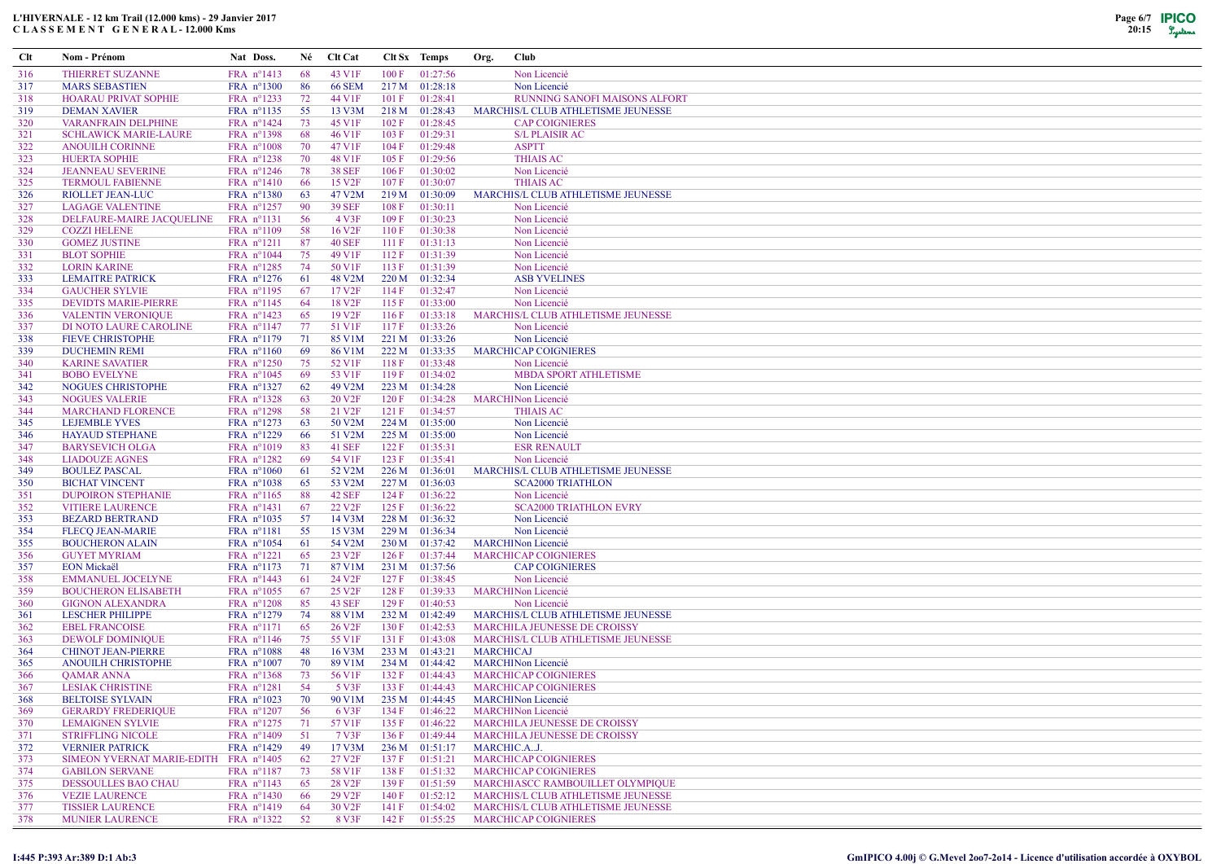| <b>Clt</b> | Nom - Prénom                                    | Nat Doss.                                  | Né       | <b>Clt Cat</b>     | Clt Sx Temps |                                  | Org.             | Club                                                       |
|------------|-------------------------------------------------|--------------------------------------------|----------|--------------------|--------------|----------------------------------|------------------|------------------------------------------------------------|
| 316        | <b>THIERRET SUZANNE</b>                         | FRA nº1413                                 | 68       | 43 V1F             | 100 F        | 01:27:56                         |                  | Non Licencié                                               |
| 317        | <b>MARS SEBASTIEN</b>                           | FRA n°1300                                 | 86       | <b>66 SEM</b>      |              | 217 M 01:28:18                   |                  | Non Licencié                                               |
| 318        | <b>HOARAU PRIVAT SOPHIE</b>                     | FRA nº1233                                 | 72       | 44 V1F             | 101 F        | 01:28:41                         |                  | RUNNING SANOFI MAISONS ALFORT                              |
| 319        | <b>DEMAN XAVIER</b>                             | FRA nº1135                                 | 55       | 13 V3M             |              | 218 M 01:28:43                   |                  | MARCHIS/L CLUB ATHLETISME JEUNESSE                         |
| 320        | <b>VARANFRAIN DELPHINE</b>                      | FRA nº1424                                 | 73       | 45 V1F             | 102 F        | 01:28:45                         |                  | <b>CAP COIGNIERES</b>                                      |
| 321        | <b>SCHLAWICK MARIE-LAURE</b>                    | FRA nº1398                                 | 68       | 46 V1F             | 103 F        | 01:29:31                         |                  | <b>S/L PLAISIR AC</b>                                      |
| 322        | <b>ANOUILH CORINNE</b>                          | FRA $n^{\circ}1008$                        | 70       | 47 V1F             | 104 F        | 01:29:48                         |                  | <b>ASPTT</b>                                               |
| 323        | <b>HUERTA SOPHIE</b>                            | FRA nº1238                                 | 70       | 48 V1F             | 105 F        | 01:29:56                         |                  | <b>THIAIS AC</b>                                           |
| 324        | <b>JEANNEAU SEVERINE</b>                        | FRA $n^{\circ}1246$                        | 78       | <b>38 SEF</b>      | 106 F        | 01:30:02                         |                  | Non Licencié                                               |
| 325        | <b>TERMOUL FABIENNE</b>                         | FRA $n^{\circ}1410$                        | 66       | 15 V <sub>2F</sub> | 107 F        | 01:30:07                         |                  | <b>THIAIS AC</b>                                           |
| 326        | <b>RIOLLET JEAN-LUC</b>                         | FRA nº1380                                 | 63       | 47 V2M             |              | 219 M 01:30:09                   |                  | MARCHIS/L CLUB ATHLETISME JEUNESSE                         |
| 327        | <b>LAGAGE VALENTINE</b>                         | FRA $n^{\circ}$ 1257                       | 90       | <b>39 SEF</b>      | 108 F        | 01:30:11                         |                  | Non Licencié                                               |
| 328        | DELFAURE-MAIRE JACQUELINE                       | $FRA$ n°1131                               | 56       | 4 V3F              | 109 F        | 01:30:23                         |                  | Non Licencié                                               |
| 329        | <b>COZZI HELENE</b>                             | FRA $n^{\circ}1109$                        | 58       | 16 V <sub>2F</sub> | 110F         | 01:30:38                         |                  | Non Licencié                                               |
| 330        | <b>GOMEZ JUSTINE</b>                            | FRA nº1211                                 | 87       | <b>40 SEF</b>      | 111F         | 01:31:13                         |                  | Non Licencié                                               |
| 331        | <b>BLOT SOPHIE</b>                              | FRA n°1044                                 | 75       | 49 V1F             | 112F         | 01:31:39                         |                  | Non Licencié                                               |
| 332        | <b>LORIN KARINE</b>                             | FRA nº1285                                 | 74       | 50 V1F             | 113F         | 01:31:39                         |                  | Non Licencié                                               |
| 333        | <b>LEMAITRE PATRICK</b>                         | FRA $n^{\circ}1276$                        | 61       | 48 V2M             |              | 220 M 01:32:34                   |                  | <b>ASB YVELINES</b>                                        |
| 334        | <b>GAUCHER SYLVIE</b>                           | FRA nº1195                                 | 67       | 17 V <sub>2F</sub> | 114F         | 01:32:47                         |                  | Non Licencié                                               |
| 335        | <b>DEVIDTS MARIE-PIERRE</b>                     | FRA nº1145                                 | 64       | 18 V <sub>2F</sub> | 115F         | 01:33:00                         |                  | Non Licencié                                               |
| 336        | <b>VALENTIN VERONIQUE</b>                       | FRA nº1423                                 | 65       | 19 V <sub>2F</sub> | 116F         | 01:33:18                         |                  | MARCHIS/L CLUB ATHLETISME JEUNESSE                         |
| 337        | DI NOTO LAURE CAROLINE                          | FRA nº1147                                 | 77       | 51 V1F             | 117F         | 01:33:26                         |                  | Non Licencié                                               |
| 338        | <b>FIEVE CHRISTOPHE</b>                         | FRA nº1179                                 | 71<br>69 | 85 V1M             |              | 221 M 01:33:26                   |                  | Non Licencié                                               |
| 339<br>340 | <b>DUCHEMIN REMI</b><br><b>KARINE SAVATIER</b>  | FRA n°1160<br>FRA n°1250                   | 75       | 86 V1M<br>52 V1F   | 118F         | 222 M 01:33:35<br>01:33:48       |                  | <b>MARCHICAP COIGNIERES</b><br>Non Licencié                |
| 341        | <b>BOBO EVELYNE</b>                             | FRA $n^{\circ}1045$                        | 69       | 53 V1F             | 119F         | 01:34:02                         |                  | <b>MBDA SPORT ATHLETISME</b>                               |
| 342        | <b>NOGUES CHRISTOPHE</b>                        | FRA nº1327                                 | 62       | 49 V2M             |              | 223 M 01:34:28                   |                  | Non Licencié                                               |
| 343        | <b>NOGUES VALERIE</b>                           | FRA nº1328                                 | 63       | 20 V <sub>2F</sub> | 120 F        | 01:34:28                         |                  | <b>MARCHINon Licencié</b>                                  |
| 344        | <b>MARCHAND FLORENCE</b>                        | FRA nº1298                                 | 58       | 21 V <sub>2F</sub> | 121 F        | 01:34:57                         |                  | <b>THIAIS AC</b>                                           |
| 345        | <b>LEJEMBLE YVES</b>                            | FRA $n^{\circ}1273$                        | 63       | 50 V2M             |              | 224 M 01:35:00                   |                  | Non Licencié                                               |
| 346        | <b>HAYAUD STEPHANE</b>                          | FRA nº1229                                 | 66       | 51 V2M             |              | 225 M 01:35:00                   |                  | Non Licencié                                               |
| 347        | <b>BARYSEVICH OLGA</b>                          | FRA $n^{\circ}1019$                        | 83       | <b>41 SEF</b>      | 122 F        | 01:35:31                         |                  | <b>ESR RENAULT</b>                                         |
| 348        | <b>LIADOUZE AGNES</b>                           | FRA $n^{\circ}1282$                        | 69       | 54 V1F             | 123 F        | 01:35:41                         |                  | Non Licencié                                               |
| 349        | <b>BOULEZ PASCAL</b>                            | FRA $n^{\circ}1060$                        | -61      | 52 V2M             |              | 226 M 01:36:01                   |                  | MARCHIS/L CLUB ATHLETISME JEUNESSE                         |
| 350        | <b>BICHAT VINCENT</b>                           | FRA $n^{\circ}1038$                        | 65       | 53 V2M             | 227 M        | 01:36:03                         |                  | <b>SCA2000 TRIATHLON</b>                                   |
| 351        | <b>DUPOIRON STEPHANIE</b>                       | FRA nº1165                                 | 88       | <b>42 SEF</b>      | 124 F        | 01:36:22                         |                  | Non Licencié                                               |
| 352        | <b>VITIERE LAURENCE</b>                         | FRA nº1431                                 | 67       | 22 V <sub>2F</sub> | 125 F        | 01:36:22                         |                  | <b>SCA2000 TRIATHLON EVRY</b>                              |
| 353        | <b>BEZARD BERTRAND</b>                          | FRA $n^{\circ}1035$                        | 57       | 14 V3M             |              | 228 M 01:36:32                   |                  | Non Licencié                                               |
| 354        | <b>FLECQ JEAN-MARIE</b>                         | FRA nº1181                                 | 55       | 15 V3M             |              | 229 M 01:36:34                   |                  | Non Licencié                                               |
| 355        | <b>BOUCHERON ALAIN</b>                          | FRA nº1054                                 | 61       | 54 V2M             |              | 230 M 01:37:42                   |                  | <b>MARCHINon Licencié</b>                                  |
| 356        | <b>GUYET MYRIAM</b>                             | $FRA$ n°1221                               | 65       | 23 V <sub>2F</sub> | 126 F        | 01:37:44                         |                  | <b>MARCHICAP COIGNIERES</b>                                |
| 357        | <b>EON Mickaël</b>                              | FRA nº1173                                 | 71       | 87 V1M             |              | 231 M 01:37:56                   |                  | <b>CAP COIGNIERES</b>                                      |
| 358        | <b>EMMANUEL JOCELYNE</b>                        | FRA nº1443                                 | 61       | 24 V <sub>2F</sub> | 127 F        | 01:38:45                         |                  | Non Licencié                                               |
| 359        | <b>BOUCHERON ELISABETH</b>                      | FRA nº1055                                 | 67       | 25 V <sub>2F</sub> | 128 F        | 01:39:33                         |                  | <b>MARCHINon Licencié</b>                                  |
| 360        | <b>GIGNON ALEXANDRA</b>                         | $FRA$ n°1208                               | 85       | <b>43 SEF</b>      | 129F         | 01:40:53                         |                  | Non Licencié                                               |
| 361        | <b>LESCHER PHILIPPE</b>                         | FRA nº1279                                 | 74       | <b>88 V1M</b>      |              | 232 M 01:42:49                   |                  | MARCHIS/L CLUB ATHLETISME JEUNESSE                         |
| 362        | <b>EBEL FRANCOISE</b>                           | FRA nº1171                                 | 65       | 26 V <sub>2F</sub> | 130 F        | 01:42:53                         |                  | <b>MARCHILA JEUNESSE DE CROISSY</b>                        |
| 363        | DEWOLF DOMINIQUE                                | FRA $n^{\circ}1146$                        | 75       | 55 V1F             | 131 F        | 01:43:08                         |                  | <b>MARCHIS/L CLUB ATHLETISME JEUNESSE</b>                  |
| 364        | <b>CHINOT JEAN-PIERRE</b><br>ANOUILH CHRISTOPHE | FRA $n^{\circ}1088$<br>FRA $n^{\circ}1007$ | 48<br>70 | 16 V3M<br>89 V1M   |              | 233 M 01:43:21<br>234 M 01:44:42 | <b>MARCHICAJ</b> | <b>MARCHINon Licencié</b>                                  |
| 365        | <b>QAMAR ANNA</b>                               |                                            | 73       | 56 V1F             | 132 F        | 01:44:43                         |                  |                                                            |
| 366<br>367 | <b>LESIAK CHRISTINE</b>                         | FRA $n^{\circ}1368$<br>$FRA$ n°1281        | 54       | 5 V3F              | 133 F        | 01:44:43                         |                  | <b>MARCHICAP COIGNIERES</b><br><b>MARCHICAP COIGNIERES</b> |
| 368        | <b>BELTOISE SYLVAIN</b>                         | FRA n°1023 70                              |          | 90 V1M             |              | 235 M 01:44:45                   |                  | <b>MARCHINon Licencié</b>                                  |
| 369        | <b>GERARDY FREDERIQUE</b>                       | $FRA$ n°1207                               | - 56     | 6 V3F              |              | $134 F$ 01:46:22                 |                  | <b>MARCHINon Licencié</b>                                  |
| 370        | <b>LEMAIGNEN SYLVIE</b>                         | $FRA$ n°1275                               | 71       | 57 V1F             | 135 F        | 01:46:22                         |                  | MARCHILA JEUNESSE DE CROISSY                               |
| 371        | <b>STRIFFLING NICOLE</b>                        | FRA $n^{\circ}1409$                        | 51       | 7 V3F              | 136 F        | 01:49:44                         |                  | MARCHILA JEUNESSE DE CROISSY                               |
| 372        | <b>VERNIER PATRICK</b>                          | FRA $n^{\circ}1429$                        | 49       | 17 V3M             |              | 236 M 01:51:17                   |                  | MARCHIC.AJ.                                                |
| 373        | SIMEON YVERNAT MARIE-EDITH FRA n°1405           |                                            | 62       | 27 V <sub>2F</sub> |              | 137 F 01:51:21                   |                  | <b>MARCHICAP COIGNIERES</b>                                |
| 374        | <b>GABILON SERVANE</b>                          | FRA $n^{\circ}1187$                        | 73       | 58 V1F             | 138 F        | 01:51:32                         |                  | <b>MARCHICAP COIGNIERES</b>                                |
| 375        | <b>DESSOULLES BAO CHAU</b>                      | $FRA$ n°1143                               | 65       | 28 V <sub>2F</sub> | 139 F        | 01:51:59                         |                  | MARCHIASCC RAMBOUILLET OLYMPIQUE                           |
| 376        | <b>VEZIE LAURENCE</b>                           | FRA $n^{\circ}1430$                        | 66       | 29 V <sub>2F</sub> | 140 F        | 01:52:12                         |                  | MARCHIS/L CLUB ATHLETISME JEUNESSE                         |
| 377        | <b>TISSIER LAURENCE</b>                         | $FRA$ n°1419                               | -64      | 30 V <sub>2F</sub> | 141 F        | 01:54:02                         |                  | MARCHIS/L CLUB ATHLETISME JEUNESSE                         |
| 378        | <b>MUNIER LAURENCE</b>                          | FRA n°1322 52                              |          | 8 V3F              |              | 142 F 01:55:25                   |                  | <b>MARCHICAP COIGNIERES</b>                                |